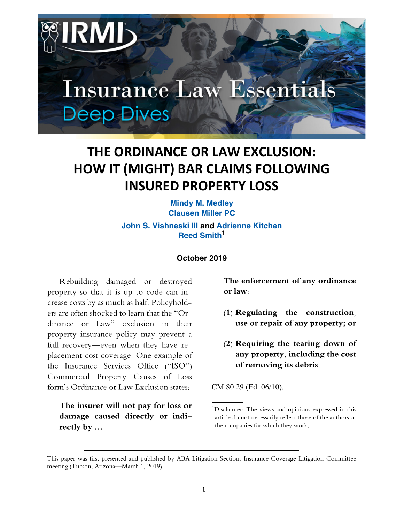

# **THE ORDINANCE OR LAW EXCLUSION: HOW IT (MIGHT) BAR CLAIMS FOLLOWING INSURED PROPERTY LOSS**

**Mindy M. Medley Clausen Miller PC John S. Vishneski III and Adrienne Kitchen Reed Smith**<sup>1</sup>

#### **October 2019**

Rebuilding damaged or destroyed property so that it is up to code can increase costs by as much as half. Policyholders are often shocked to learn that the "Ordinance or Law" exclusion in their property insurance policy may prevent a full recovery—even when they have replacement cost coverage. One example of the Insurance Services Office ("ISO") Commercial Property Causes of Loss form's Ordinance or Law Exclusion states:

#### **The insurer will not pay for loss or damage caused directly or indirectly by …**

**The enforcement of any ordinance or law:** 

- **(1) Regulating the construction, use or repair of any property; or**
- **(2) Requiring the tearing down of any property, including the cost of removing its debris.**

CM 80 29 (Ed. 06/10).

<sup>&</sup>lt;sup>1</sup>Disclaimer: The views and opinions expressed in this article do not necessarily reflect those of the authors or the companies for which they work.

This paper was first presented and published by ABA Litigation Section, Insurance Coverage Litigation Committee meeting (Tucson, Arizona—March 1, 2019)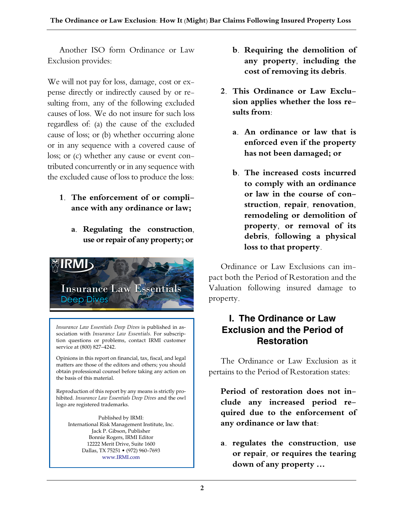Another ISO form Ordinance or Law Exclusion provides:

We will not pay for loss, damage, cost or expense directly or indirectly caused by or resulting from, any of the following excluded causes of loss. We do not insure for such loss regardless of: (a) the cause of the excluded cause of loss; or (b) whether occurring alone or in any sequence with a covered cause of loss; or (c) whether any cause or event contributed concurrently or in any sequence with the excluded cause of loss to produce the loss:

- **1. The enforcement of or compliance with any ordinance or law;**
	- **a. Regulating the construction, use or repair of any property; or**



*Insurance Law Essentials Deep Dives* is published in association with *Insurance Law Essentials.* For subscription questions or problems, contact IRMI customer service at (800) 827–4242.

Opinions in this report on financial, tax, fiscal, and legal matters are those of the editors and others; you should obtain professional counsel before taking any action on the basis of this material.

Reproduction of this report by any means is strictly prohibited. *Insurance Law Essentials Deep Dives* and the owl logo are registered trademarks.

Published by IRMI: International Risk Management Institute, Inc. Jack P. Gibson, Publisher Bonnie Rogers, IRMI Editor 12222 Merit Drive, Suite 1600 Dallas, TX 75251 • (972) 960–7693 www.IRMI.com

- **b. Requiring the demolition of any property, including the cost of removing its debris.**
- **2. This Ordinance or Law Exclusion applies whether the loss results from:**
	- **a. An ordinance or law that is enforced even if the property has not been damaged; or**
	- **b. The increased costs incurred to comply with an ordinance or law in the course of construction, repair, renovation, remodeling or demolition of property, or removal of its debris, following a physical loss to that property.**

Ordinance or Law Exclusions can impact both the Period of Restoration and the Valuation following insured damage to property.

### **I. The Ordinance or Law Exclusion and the Period of Restoration**

The Ordinance or Law Exclusion as it pertains to the Period of Restoration states:

**Period of restoration does not include any increased period required due to the enforcement of any ordinance or law that:**

**a. regulates the construction, use or repair, or requires the tearing down of any property …**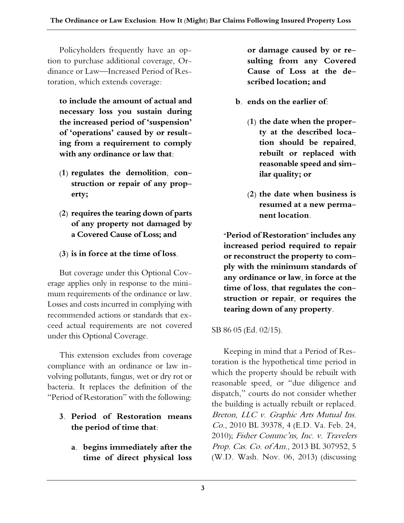Policyholders frequently have an option to purchase additional coverage, Ordinance or Law—Increased Period of Restoration, which extends coverage:

**to include the amount of actual and necessary loss you sustain during the increased period of 'suspension' of 'operations' caused by or resulting from a requirement to comply with any ordinance or law that:**

- **(1) regulates the demolition, construction or repair of any property;**
- **(2) requires the tearing down of parts of any property not damaged by a Covered Cause of Loss; and**
- **(3) is in force at the time of loss.**

But coverage under this Optional Coverage applies only in response to the minimum requirements of the ordinance or law. Losses and costs incurred in complying with recommended actions or standards that exceed actual requirements are not covered under this Optional Coverage.

This extension excludes from coverage compliance with an ordinance or law involving pollutants, fungus, wet or dry rot or bacteria. It replaces the definition of the "Period of Restoration" with the following:

#### **3. Period of Restoration means the period of time that**:

**a. begins immediately after the time of direct physical loss**

**or damage caused by or resulting from any Covered Cause of Loss at the described location; and**

- **b. ends on the earlier of:**
	- **(1) the date when the property at the described location should be repaired, rebuilt or replaced with reasonable speed and similar quality; or**
	- **(2) the date when business is resumed at a new permanent location.**

**"Period of Restoration" includes any increased period required to repair or reconstruct the property to comply with the minimum standards of any ordinance or law, in force at the time of loss, that regulates the construction or repair, or requires the tearing down of any property.**

SB 86 05 (Ed. 02/15).

Keeping in mind that a Period of Restoration is the hypothetical time period in which the property should be rebuilt with reasonable speed, or "due diligence and dispatch," courts do not consider whether the building is actually rebuilt or replaced. Breton, LLC v. Graphic Arts Mutual Ins. Co., 2010 BL 39378, 4 (E.D. Va. Feb. 24, 2010); Fisher Commc'ns, Inc. v. Travelers Prop. Cas. Co. of Am., 2013 BL 307952, 5 (W.D. Wash. Nov. 06, 2013) (discussing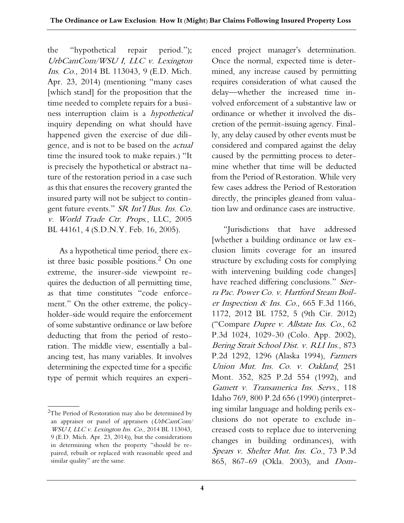the "hypothetical repair period."); UrbCamCom/WSU I, LLC v. Lexington Ins. Co., 2014 BL 113043, 9 (E.D. Mich. Apr. 23, 2014) (mentioning "many cases [which stand] for the proposition that the time needed to complete repairs for a business interruption claim is a hypothetical inquiry depending on what should have happened given the exercise of due diligence, and is not to be based on the actual time the insured took to make repairs.) "It is precisely the hypothetical or abstract nature of the restoration period in a case such as this that ensures the recovery granted the insured party will not be subject to contingent future events." SR Int'l Bus. Ins. Co. v. World Trade Ctr. Props., LLC, 2005 BL 44161, 4 (S.D.N.Y. Feb. 16, 2005).

As a hypothetical time period, there exist three basic possible positions. $^2$  On one extreme, the insurer-side viewpoint requires the deduction of all permitting time, as that time constitutes "code enforcement." On the other extreme, the policyholder-side would require the enforcement of some substantive ordinance or law before deducting that from the period of restoration. The middle view, essentially a balancing test, has many variables. It involves determining the expected time for a specific type of permit which requires an experi-

enced project manager's determination. Once the normal, expected time is determined, any increase caused by permitting requires consideration of what caused the delay—whether the increased time involved enforcement of a substantive law or ordinance or whether it involved the discretion of the permit-issuing agency. Finally, any delay caused by other events must be considered and compared against the delay caused by the permitting process to determine whether that time will be deducted from the Period of Restoration. While very few cases address the Period of Restoration directly, the principles gleaned from valuation law and ordinance cases are instructive.

"Jurisdictions that have addressed [whether a building ordinance or law exclusion limits coverage for an insured structure by excluding costs for complying with intervening building code changes] have reached differing conclusions." Sierra Pac. Power Co. v. Hartford Steam Boiler Inspection & Ins. Co., 665 F.3d 1166, 1172, 2012 BL 1752, 5 (9th Cir. 2012) ("Compare Dupre v. Allstate Ins. Co., 62 P.3d 1024, 1029-30 (Colo. App. 2002), Bering Strait School Dist. v. RLI Ins., 873 P.2d 1292, 1296 (Alaska 1994), Farmers Union Mut. Ins. Co. v. Oakland, 251 Mont. 352, 825 P.2d 554 (1992), and Gamett v. Transamerica Ins. Servs., 118 Idaho 769, 800 P.2d 656 (1990) (interpreting similar language and holding perils exclusions do not operate to exclude increased costs to replace due to intervening changes in building ordinances), with Spears v. Shelter Mut. Ins. Co., 73 P.3d 865, 867-69 (Okla. 2003), and Dom-

 ${}^{2}$ The Period of Restoration may also be determined by an appraiser or panel of appraisers (UrbCamCom/ WSU I, LLC v. Lexington Ins. Co., 2014 BL 113043, 9 (E.D. Mich. Apr. 23, 2014)), but the considerations in determining when the property "should be repaired, rebuilt or replaced with reasonable speed and similar quality" are the same.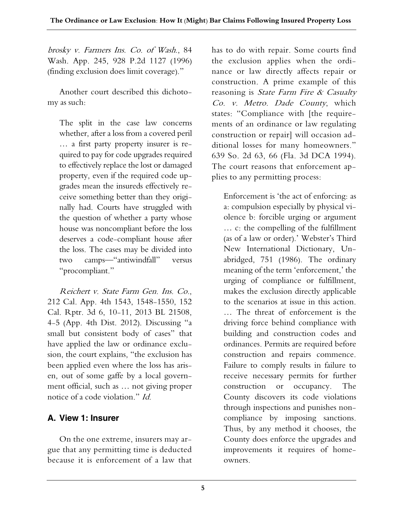brosky v. Farmers Ins. Co. of Wash., 84 Wash. App. 245, 928 P.2d 1127 (1996) (finding exclusion does limit coverage)."

Another court described this dichotomy as such:

The split in the case law concerns whether, after a loss from a covered peril … a first party property insurer is required to pay for code upgrades required to effectively replace the lost or damaged property, even if the required code upgrades mean the insureds effectively receive something better than they originally had. Courts have struggled with the question of whether a party whose house was noncompliant before the loss deserves a code-compliant house after the loss. The cases may be divided into two camps—"antiwindfall" versus "procompliant."

Reichert v. State Farm Gen. Ins. Co., 212 Cal. App. 4th 1543, 1548-1550, 152 Cal. Rptr. 3d 6, 10-11, 2013 BL 21508, 4-5 (App. 4th Dist. 2012). Discussing "a small but consistent body of cases" that have applied the law or ordinance exclusion, the court explains, "the exclusion has been applied even where the loss has arisen, out of some gaffe by a local government official, such as … not giving proper notice of a code violation." Id.

### **A. View 1: Insurer**

On the one extreme, insurers may argue that any permitting time is deducted because it is enforcement of a law that

has to do with repair. Some courts find the exclusion applies when the ordinance or law directly affects repair or construction. A prime example of this reasoning is State Farm Fire  $\&$  Casualty Co. v. Metro. Dade County, which states: "Compliance with [the requirements of an ordinance or law regulating construction or repair] will occasion additional losses for many homeowners." 639 So. 2d 63, 66 (Fla. 3d DCA 1994). The court reasons that enforcement applies to any permitting process:

Enforcement is 'the act of enforcing: as a: compulsion especially by physical violence b: forcible urging or argument … c: the compelling of the fulfillment (as of a law or order).' Webster's Third New International Dictionary, Unabridged, 751 (1986). The ordinary meaning of the term 'enforcement,' the urging of compliance or fulfillment, makes the exclusion directly applicable to the scenarios at issue in this action. … The threat of enforcement is the driving force behind compliance with building and construction codes and ordinances. Permits are required before construction and repairs commence. Failure to comply results in failure to receive necessary permits for further construction or occupancy. The County discovers its code violations through inspections and punishes noncompliance by imposing sanctions. Thus, by any method it chooses, the County does enforce the upgrades and improvements it requires of homeowners.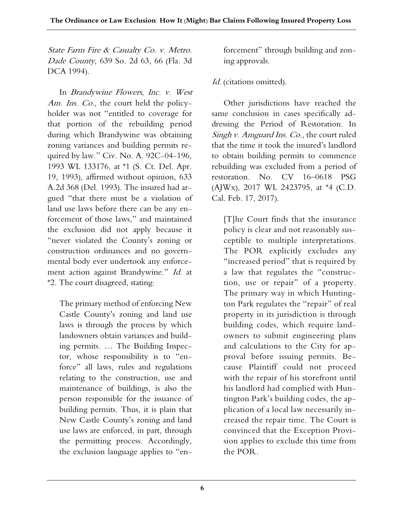State Farm Fire & Casualty Co. v. Metro. Dade County, 639 So. 2d 63, 66 (Fla. 3d DCA 1994).

In Brandywine Flowers, Inc. v. West Am. Ins. Co., the court held the policyholder was not "entitled to coverage for that portion of the rebuilding period during which Brandywine was obtaining zoning variances and building permits required by law." Civ. No. A. 92C-04-196, 1993 WL 133176, at \*1 (S. Ct. Del. Apr. 19, 1993), affirmed without opinion, 633 A.2d 368 (Del. 1993). The insured had argued "that there must be a violation of land use laws before there can be any enforcement of those laws," and maintained the exclusion did not apply because it "never violated the County's zoning or construction ordinances and no governmental body ever undertook any enforcement action against Brandywine." Id. at \*2. The court disagreed, stating:

The primary method of enforcing New Castle County's zoning and land use laws is through the process by which landowners obtain variances and building permits. … The Building Inspector, whose responsibility is to "enforce" all laws, rules and regulations relating to the construction, use and maintenance of buildings, is also the person responsible for the issuance of building permits. Thus, it is plain that New Castle County's zoning and land use laws are enforced, in part, through the permitting process. Accordingly, the exclusion language applies to "enforcement" through building and zoning approvals.

#### Id. (citations omitted).

Other jurisdictions have reached the same conclusion in cases specifically addressing the Period of Restoration. In Singh v. Amguard Ins. Co., the court ruled that the time it took the insured's landlord to obtain building permits to commence rebuilding was excluded from a period of restoration. No. CV 16–0618 PSG (AJWx), 2017 WL 2423795, at \*4 (C.D. Cal. Feb. 17, 2017).

[T]he Court finds that the insurance policy is clear and not reasonably susceptible to multiple interpretations. The POR explicitly excludes any "increased period" that is required by a law that regulates the "construction, use or repair" of a property. The primary way in which Huntington Park regulates the "repair" of real property in its jurisdiction is through building codes, which require landowners to submit engineering plans and calculations to the City for approval before issuing permits. Because Plaintiff could not proceed with the repair of his storefront until his landlord had complied with Huntington Park's building codes, the application of a local law necessarily increased the repair time. The Court is convinced that the Exception Provision applies to exclude this time from the POR.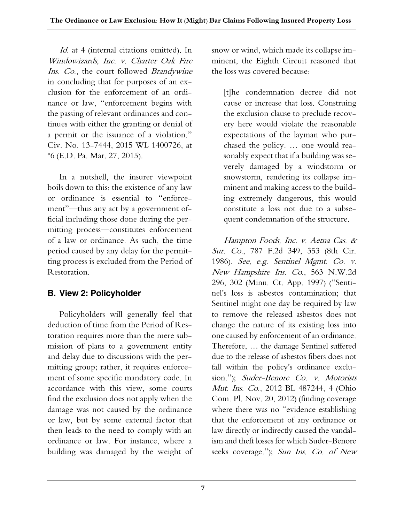Id. at 4 (internal citations omitted). In Windowizards, Inc. v. Charter Oak Fire Ins. Co., the court followed Brandywine in concluding that for purposes of an exclusion for the enforcement of an ordinance or law, "enforcement begins with the passing of relevant ordinances and continues with either the granting or denial of a permit or the issuance of a violation." Civ. No. 13-7444, 2015 WL 1400726, at \*6 (E.D. Pa. Mar. 27, 2015).

In a nutshell, the insurer viewpoint boils down to this: the existence of any law or ordinance is essential to "enforcement"—thus any act by a government official including those done during the permitting process—constitutes enforcement of a law or ordinance. As such, the time period caused by any delay for the permitting process is excluded from the Period of Restoration.

### **B. View 2: Policyholder**

Policyholders will generally feel that deduction of time from the Period of Restoration requires more than the mere submission of plans to a government entity and delay due to discussions with the permitting group; rather, it requires enforcement of some specific mandatory code. In accordance with this view, some courts find the exclusion does not apply when the damage was not caused by the ordinance or law, but by some external factor that then leads to the need to comply with an ordinance or law. For instance, where a building was damaged by the weight of snow or wind, which made its collapse imminent, the Eighth Circuit reasoned that the loss was covered because:

[t]he condemnation decree did not cause or increase that loss. Construing the exclusion clause to preclude recovery here would violate the reasonable expectations of the layman who purchased the policy. … one would reasonably expect that if a building was severely damaged by a windstorm or snowstorm, rendering its collapse imminent and making access to the building extremely dangerous, this would constitute a loss not due to a subsequent condemnation of the structure.

Hampton Foods, Inc. v. Aetna Cas. & Sur. Co., 787 F.2d 349, 353 (8th Cir. 1986). See, e.g. Sentinel Mgmt. Co. v. New Hampshire Ins. Co., 563 N.W.2d 296, 302 (Minn. Ct. App. 1997) ("Sentinel's loss is asbestos contamination; that Sentinel might one day be required by law to remove the released asbestos does not change the nature of its existing loss into one caused by enforcement of an ordinance. Therefore, … the damage Sentinel suffered due to the release of asbestos fibers does not fall within the policy's ordinance exclusion."); Suder-Benore Co. v. Motorists Mut. Ins. Co., 2012 BL 487244, 4 (Ohio Com. Pl. Nov. 20, 2012) (finding coverage where there was no "evidence establishing that the enforcement of any ordinance or law directly or indirectly caused the vandalism and theft losses for which Suder-Benore seeks coverage."); Sun Ins. Co. of New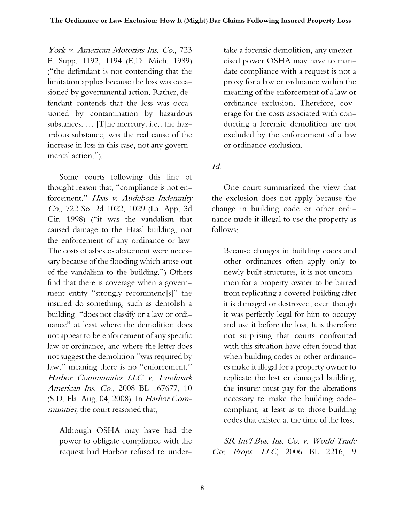York v. American Motorists Ins. Co., 723 F. Supp. 1192, 1194 (E.D. Mich. 1989) ("the defendant is not contending that the limitation applies because the loss was occasioned by governmental action. Rather, defendant contends that the loss was occasioned by contamination by hazardous substances. … [T]he mercury, i.e., the hazardous substance, was the real cause of the increase in loss in this case, not any governmental action.").

Some courts following this line of thought reason that, "compliance is not enforcement." Haas v. Audubon Indemnity Co., 722 So. 2d 1022, 1029 (La. App. 3d Cir. 1998) ("it was the vandalism that caused damage to the Haas' building, not the enforcement of any ordinance or law. The costs of asbestos abatement were necessary because of the flooding which arose out of the vandalism to the building.") Others find that there is coverage when a government entity "strongly recommend[s]" the insured do something, such as demolish a building, "does not classify or a law or ordinance" at least where the demolition does not appear to be enforcement of any specific law or ordinance, and where the letter does not suggest the demolition "was required by law," meaning there is no "enforcement." Harbor Communities LLC v. Landmark American Ins. Co., 2008 BL 167677, 10 (S.D. Fla. Aug. 04, 2008). In Harbor Communities, the court reasoned that,

Although OSHA may have had the power to obligate compliance with the request had Harbor refused to undertake a forensic demolition, any unexercised power OSHA may have to mandate compliance with a request is not a proxy for a law or ordinance within the meaning of the enforcement of a law or ordinance exclusion. Therefore, coverage for the costs associated with conducting a forensic demolition are not excluded by the enforcement of a law or ordinance exclusion.

Id.

One court summarized the view that the exclusion does not apply because the change in building code or other ordinance made it illegal to use the property as follows:

Because changes in building codes and other ordinances often apply only to newly built structures, it is not uncommon for a property owner to be barred from replicating a covered building after it is damaged or destroyed, even though it was perfectly legal for him to occupy and use it before the loss. It is therefore not surprising that courts confronted with this situation have often found that when building codes or other ordinances make it illegal for a property owner to replicate the lost or damaged building, the insurer must pay for the alterations necessary to make the building codecompliant, at least as to those building codes that existed at the time of the loss.

SR Int'l Bus. Ins. Co. v. World Trade Ctr. Props. LLC, 2006 BL 2216, 9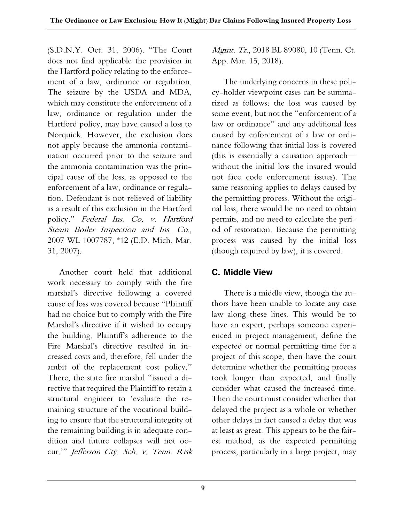(S.D.N.Y. Oct. 31, 2006). "The Court does not find applicable the provision in the Hartford policy relating to the enforcement of a law, ordinance or regulation. The seizure by the USDA and MDA, which may constitute the enforcement of a law, ordinance or regulation under the Hartford policy, may have caused a loss to Norquick. However, the exclusion does not apply because the ammonia contamination occurred prior to the seizure and the ammonia contamination was the principal cause of the loss, as opposed to the enforcement of a law, ordinance or regulation. Defendant is not relieved of liability as a result of this exclusion in the Hartford policy." Federal Ins. Co. v. Hartford Steam Boiler Inspection and Ins. Co., 2007 WL 1007787, \*12 (E.D. Mich. Mar. 31, 2007).

Another court held that additional work necessary to comply with the fire marshal's directive following a covered cause of loss was covered because "Plaintiff had no choice but to comply with the Fire Marshal's directive if it wished to occupy the building. Plaintiff's adherence to the Fire Marshal's directive resulted in increased costs and, therefore, fell under the ambit of the replacement cost policy." There, the state fire marshal "issued a directive that required the Plaintiff to retain a structural engineer to 'evaluate the remaining structure of the vocational building to ensure that the structural integrity of the remaining building is in adequate condition and future collapses will not occur.'" Jefferson Cty. Sch. v. Tenn. Risk

Mgmt. Tr., 2018 BL 89080, 10 (Tenn. Ct. App. Mar. 15, 2018).

The underlying concerns in these policy-holder viewpoint cases can be summarized as follows: the loss was caused by some event, but not the "enforcement of a law or ordinance" and any additional loss caused by enforcement of a law or ordinance following that initial loss is covered (this is essentially a causation approach without the initial loss the insured would not face code enforcement issues). The same reasoning applies to delays caused by the permitting process. Without the original loss, there would be no need to obtain permits, and no need to calculate the period of restoration. Because the permitting process was caused by the initial loss (though required by law), it is covered.

### **C. Middle View**

There is a middle view, though the authors have been unable to locate any case law along these lines. This would be to have an expert, perhaps someone experienced in project management, define the expected or normal permitting time for a project of this scope, then have the court determine whether the permitting process took longer than expected, and finally consider what caused the increased time. Then the court must consider whether that delayed the project as a whole or whether other delays in fact caused a delay that was at least as great. This appears to be the fairest method, as the expected permitting process, particularly in a large project, may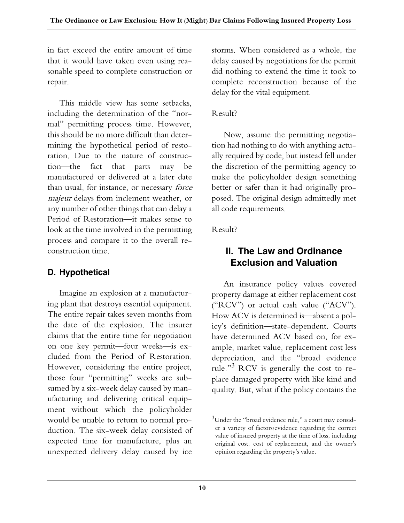in fact exceed the entire amount of time that it would have taken even using reasonable speed to complete construction or repair.

This middle view has some setbacks, including the determination of the "normal" permitting process time. However, this should be no more difficult than determining the hypothetical period of restoration. Due to the nature of construction—the fact that parts may be manufactured or delivered at a later date than usual, for instance, or necessary force majeur delays from inclement weather, or any number of other things that can delay a Period of Restoration—it makes sense to look at the time involved in the permitting process and compare it to the overall reconstruction time.

# **D. Hypothetical**

Imagine an explosion at a manufacturing plant that destroys essential equipment. The entire repair takes seven months from the date of the explosion. The insurer claims that the entire time for negotiation on one key permit—four weeks—is excluded from the Period of Restoration. However, considering the entire project, those four "permitting" weeks are subsumed by a six-week delay caused by manufacturing and delivering critical equipment without which the policyholder would be unable to return to normal production. The six-week delay consisted of expected time for manufacture, plus an unexpected delivery delay caused by ice

storms. When considered as a whole, the delay caused by negotiations for the permit did nothing to extend the time it took to complete reconstruction because of the delay for the vital equipment.

#### Result?

Now, assume the permitting negotiation had nothing to do with anything actually required by code, but instead fell under the discretion of the permitting agency to make the policyholder design something better or safer than it had originally proposed. The original design admittedly met all code requirements.

#### Result?

## **II. The Law and Ordinance Exclusion and Valuation**

An insurance policy values covered property damage at either replacement cost ("RCV") or actual cash value ("ACV"). How ACV is determined is—absent a policy's definition—state-dependent. Courts have determined ACV based on, for example, market value, replacement cost less depreciation, and the "broad evidence rule."3 RCV is generally the cost to replace damaged property with like kind and quality. But, what if the policy contains the

 $\rm{^{3}U}$ nder the "broad evidence rule," a court may consider a variety of factors/evidence regarding the correct value of insured property at the time of loss, including original cost, cost of replacement, and the owner's opinion regarding the property's value.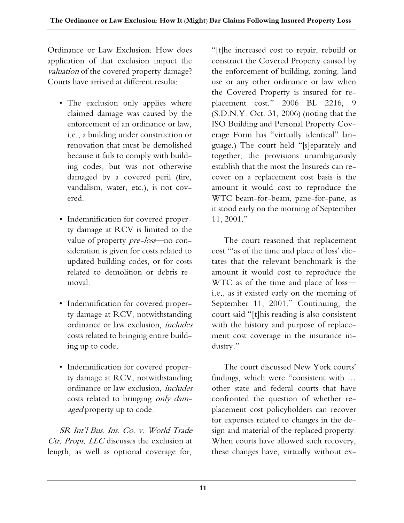Ordinance or Law Exclusion: How does application of that exclusion impact the valuation of the covered property damage? Courts have arrived at different results:

- The exclusion only applies where claimed damage was caused by the enforcement of an ordinance or law, i.e., a building under construction or renovation that must be demolished because it fails to comply with building codes, but was not otherwise damaged by a covered peril (fire, vandalism, water, etc.), is not covered.
- Indemnification for covered property damage at RCV is limited to the value of property *pre-loss*-no consideration is given for costs related to updated building codes, or for costs related to demolition or debris removal.
- Indemnification for covered property damage at RCV, notwithstanding ordinance or law exclusion, includes costs related to bringing entire building up to code.
- Indemnification for covered property damage at RCV, notwithstanding ordinance or law exclusion, includes costs related to bringing only damaged property up to code.

SR Int'l Bus. Ins. Co. v. World Trade Ctr. Props. LLC discusses the exclusion at length, as well as optional coverage for,

"[t]he increased cost to repair, rebuild or construct the Covered Property caused by the enforcement of building, zoning, land use or any other ordinance or law when the Covered Property is insured for replacement cost." 2006 BL 2216, 9 (S.D.N.Y. Oct. 31, 2006) (noting that the ISO Building and Personal Property Coverage Form has "virtually identical" language.) The court held "[s]eparately and together, the provisions unambiguously establish that the most the Insureds can recover on a replacement cost basis is the amount it would cost to reproduce the WTC beam-for-beam, pane-for-pane, as it stood early on the morning of September 11, 2001."

The court reasoned that replacement cost "'as of the time and place of loss' dictates that the relevant benchmark is the amount it would cost to reproduce the WTC as of the time and place of loss i.e., as it existed early on the morning of September 11, 2001." Continuing, the court said "[t]his reading is also consistent with the history and purpose of replacement cost coverage in the insurance industry."

The court discussed New York courts' findings, which were "consistent with … other state and federal courts that have confronted the question of whether replacement cost policyholders can recover for expenses related to changes in the design and material of the replaced property. When courts have allowed such recovery, these changes have, virtually without ex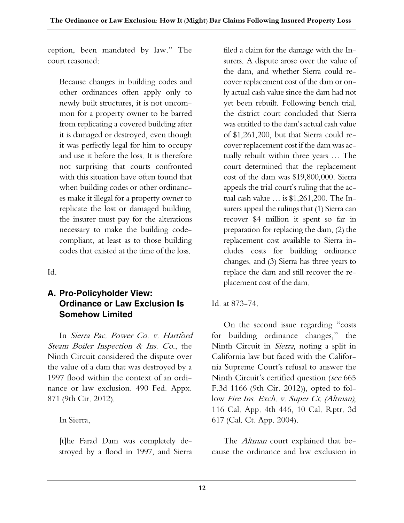ception, been mandated by law." The court reasoned:

Because changes in building codes and other ordinances often apply only to newly built structures, it is not uncommon for a property owner to be barred from replicating a covered building after it is damaged or destroyed, even though it was perfectly legal for him to occupy and use it before the loss. It is therefore not surprising that courts confronted with this situation have often found that when building codes or other ordinances make it illegal for a property owner to replicate the lost or damaged building, the insurer must pay for the alterations necessary to make the building codecompliant, at least as to those building codes that existed at the time of the loss.

Id.

### **A. Pro-Policyholder View: Ordinance or Law Exclusion Is Somehow Limited**

In Sierra Pac. Power Co. v. Hartford Steam Boiler Inspection & Ins. Co., the Ninth Circuit considered the dispute over the value of a dam that was destroyed by a 1997 flood within the context of an ordinance or law exclusion. 490 Fed. Appx. 871 (9th Cir. 2012).

In Sierra,

[t]he Farad Dam was completely destroyed by a flood in 1997, and Sierra filed a claim for the damage with the Insurers. A dispute arose over the value of the dam, and whether Sierra could recover replacement cost of the dam or only actual cash value since the dam had not yet been rebuilt. Following bench trial, the district court concluded that Sierra was entitled to the dam's actual cash value of \$1,261,200, but that Sierra could recover replacement cost if the dam was actually rebuilt within three years … The court determined that the replacement cost of the dam was \$19,800,000. Sierra appeals the trial court's ruling that the actual cash value … is \$1,261,200. The Insurers appeal the rulings that (1) Sierra can recover \$4 million it spent so far in preparation for replacing the dam, (2) the replacement cost available to Sierra includes costs for building ordinance changes, and (3) Sierra has three years to replace the dam and still recover the replacement cost of the dam.

Id. at 873-74.

On the second issue regarding "costs for building ordinance changes," the Ninth Circuit in Sierra, noting a split in California law but faced with the California Supreme Court's refusal to answer the Ninth Circuit's certified question (see 665 F.3d 1166 (9th Cir. 2012)), opted to follow Fire Ins. Exch. v. Super Ct. (Altman), 116 Cal. App. 4th 446, 10 Cal. Rptr. 3d 617 (Cal. Ct. App. 2004).

The *Altman* court explained that because the ordinance and law exclusion in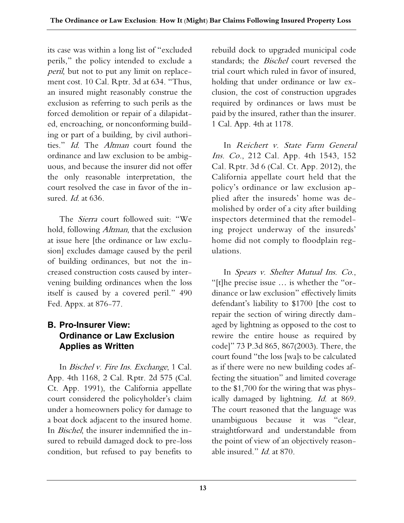its case was within a long list of "excluded perils," the policy intended to exclude a peril, but not to put any limit on replacement cost. 10 Cal. Rptr. 3d at 634. "Thus, an insured might reasonably construe the exclusion as referring to such perils as the forced demolition or repair of a dilapidated, encroaching, or nonconforming building or part of a building, by civil authorities." Id. The Altman court found the ordinance and law exclusion to be ambiguous, and because the insurer did not offer the only reasonable interpretation, the court resolved the case in favor of the insured. *Id.* at 636.

The Sierra court followed suit: "We hold, following Altman, that the exclusion at issue here [the ordinance or law exclusion] excludes damage caused by the peril of building ordinances, but not the increased construction costs caused by intervening building ordinances when the loss itself is caused by a covered peril." 490 Fed. Appx. at 876-77.

#### **B. Pro-Insurer View: Ordinance or Law Exclusion Applies as Written**

In Bischel v. Fire Ins. Exchange, 1 Cal. App. 4th 1168, 2 Cal. Rptr. 2d 575 (Cal. Ct. App. 1991), the California appellate court considered the policyholder's claim under a homeowners policy for damage to a boat dock adjacent to the insured home. In Bischel, the insurer indemnified the insured to rebuild damaged dock to pre-loss condition, but refused to pay benefits to

rebuild dock to upgraded municipal code standards; the *Bischel* court reversed the trial court which ruled in favor of insured, holding that under ordinance or law exclusion, the cost of construction upgrades required by ordinances or laws must be paid by the insured, rather than the insurer. 1 Cal. App. 4th at 1178.

In Reichert v. State Farm General Ins. Co., 212 Cal. App. 4th 1543, 152 Cal. Rptr. 3d 6 (Cal. Ct. App. 2012), the California appellate court held that the policy's ordinance or law exclusion applied after the insureds' home was demolished by order of a city after building inspectors determined that the remodeling project underway of the insureds' home did not comply to floodplain regulations.

In Spears v. Shelter Mutual Ins. Co., "[t]he precise issue … is whether the "ordinance or law exclusion" effectively limits defendant's liability to \$1700 [the cost to repair the section of wiring directly damaged by lightning as opposed to the cost to rewire the entire house as required by code]" 73 P.3d 865, 867(2003). There, the court found "the loss [wa]s to be calculated as if there were no new building codes affecting the situation" and limited coverage to the \$1,700 for the wiring that was physically damaged by lightning. Id. at 869. The court reasoned that the language was unambiguous because it was "clear, straightforward and understandable from the point of view of an objectively reasonable insured." *Id.* at 870.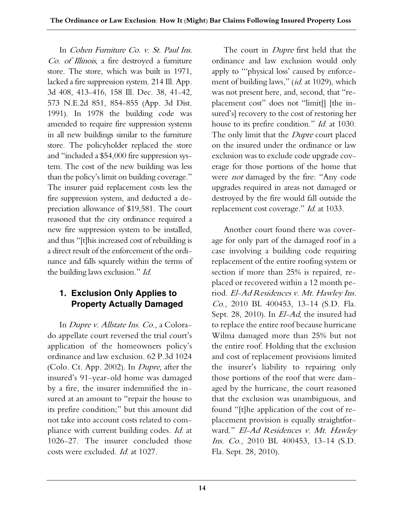In Cohen Furniture Co. v. St. Paul Ins. Co. of Illinois, a fire destroyed a furniture store. The store, which was built in 1971, lacked a fire suppression system. 214 Ill. App. 3d 408, 413-416, 158 Ill. Dec. 38, 41-42, 573 N.E.2d 851, 854-855 (App. 3d Dist. 1991). In 1978 the building code was amended to require fire suppression systems in all new buildings similar to the furniture store. The policyholder replaced the store and "included a \$54,000 fire suppression system. The cost of the new building was less than the policy's limit on building coverage." The insurer paid replacement costs less the fire suppression system, and deducted a depreciation allowance of \$19,581. The court reasoned that the city ordinance required a new fire suppression system to be installed, and thus "[t]his increased cost of rebuilding is a direct result of the enforcement of the ordinance and falls squarely within the terms of the building laws exclusion." Id.

#### **1. Exclusion Only Applies to Property Actually Damaged**

In Dupre v. Allstate Ins. Co., a Colorado appellate court reversed the trial court's application of the homeowners policy's ordinance and law exclusion. 62 P.3d 1024 (Colo. Ct. App. 2002). In Dupre, after the insured's 91-year-old home was damaged by a fire, the insurer indemnified the insured at an amount to "repair the house to its prefire condition;" but this amount did not take into account costs related to compliance with current building codes. Id. at 1026-27. The insurer concluded those costs were excluded. Id. at 1027.

The court in *Dupre* first held that the ordinance and law exclusion would only apply to "'physical loss' caused by enforcement of building laws," (id. at 1029), which was not present here, and, second, that "replacement cost" does not "limit[] [the insured's] recovery to the cost of restoring her house to its prefire condition." Id. at 1030. The only limit that the *Dupre* court placed on the insured under the ordinance or law exclusion was to exclude code upgrade coverage for those portions of the home that were not damaged by the fire: "Any code upgrades required in areas not damaged or destroyed by the fire would fall outside the replacement cost coverage." Id. at 1033.

Another court found there was coverage for only part of the damaged roof in a case involving a building code requiring replacement of the entire roofing system or section if more than 25% is repaired, replaced or recovered within a 12 month period. El-Ad Residences v. Mt. Hawley Ins. Co., 2010 BL 400453, 13-14 (S.D. Fla. Sept. 28, 2010). In El-Ad, the insured had to replace the entire roof because hurricane Wilma damaged more than 25% but not the entire roof. Holding that the exclusion and cost of replacement provisions limited the insurer's liability to repairing only those portions of the roof that were damaged by the hurricane, the court reasoned that the exclusion was unambiguous, and found "[t]he application of the cost of replacement provision is equally straightforward." El-Ad Residences v. Mt. Hawley Ins. Co., 2010 BL 400453, 13-14 (S.D. Fla. Sept. 28, 2010).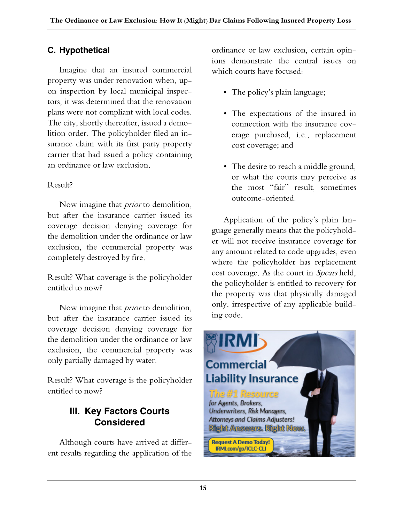# **C. Hypothetical**

Imagine that an insured commercial property was under renovation when, upon inspection by local municipal inspectors, it was determined that the renovation plans were not compliant with local codes. The city, shortly thereafter, issued a demolition order. The policyholder filed an insurance claim with its first party property carrier that had issued a policy containing an ordinance or law exclusion.

### Result?

Now imagine that *prior* to demolition, but after the insurance carrier issued its coverage decision denying coverage for the demolition under the ordinance or law exclusion, the commercial property was completely destroyed by fire.

Result? What coverage is the policyholder entitled to now?

Now imagine that *prior* to demolition, but after the insurance carrier issued its coverage decision denying coverage for the demolition under the ordinance or law exclusion, the commercial property was only partially damaged by water.

Result? What coverage is the policyholder entitled to now?

# **III. Key Factors Courts Considered**

Although courts have arrived at different results regarding the application of the ordinance or law exclusion, certain opinions demonstrate the central issues on which courts have focused:

- The policy's plain language;
- The expectations of the insured in connection with the insurance coverage purchased, i.e., replacement cost coverage; and
- The desire to reach a middle ground, or what the courts may perceive as the most "fair" result, sometimes outcome-oriented.

Application of the policy's plain language generally means that the policyholder will not receive insurance coverage for any amount related to code upgrades, even where the policyholder has replacement cost coverage. As the court in Spears held, the policyholder is entitled to recovery for the property was that physically damaged only, irrespective of any applicable building code.